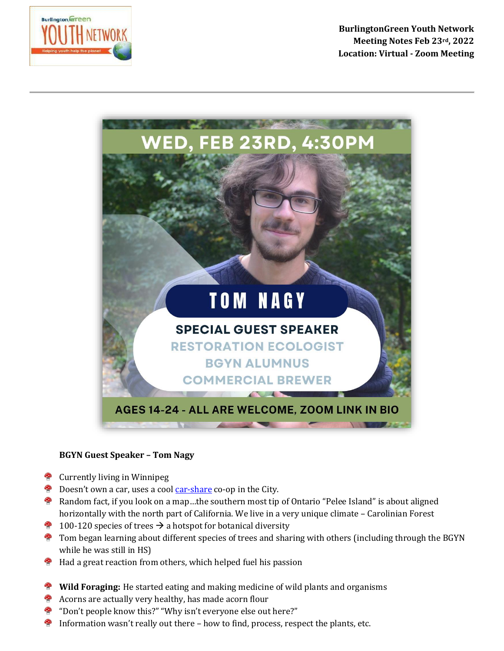

**BurlingtonGreen Youth Network Meeting Notes Feb 23rd, 2022 Location: Virtual - Zoom Meeting**



## **BGYN Guest Speaker – Tom Nagy**

- **<sup>49</sup>** Currently living in Winnipeg
- Doesn't own a car, uses a cool [car-share](https://www.treehugger.com/what-is-car-sharing-and-how-does-it-work-4858485) co-op in the City.
- **P** Random fact, if you look on a map...the southern most tip of Ontario "Pelee Island" is about aligned horizontally with the north part of California. We live in a very unique climate - Carolinian Forest
- **100-120** species of trees  $\rightarrow$  a hotspot for botanical diversity
- **<sup>®</sup>** Tom began learning about different species of trees and sharing with others (including through the BGYN while he was still in HS)
- Had a great reaction from others, which helped fuel his passion
- **Wild Foraging:** He started eating and making medicine of wild plants and organisms
- Acorns are actually very healthy, has made acorn flour
- "Don't people know this?" "Why isn't everyone else out here?"
- Information wasn't really out there how to find, process, respect the plants, etc.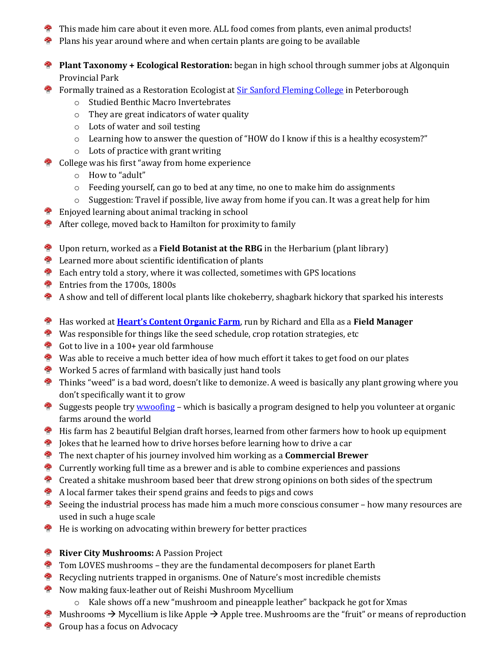- This made him care about it even more. ALL food comes from plants, even animal products!
- **P** Plans his year around where and when certain plants are going to be available
- **Plant Taxonomy + Ecological Restoration:** began in high school through summer jobs at Algonquin Provincial Park
- **<sup>49</sup>** Formally trained as a Restoration Ecologist at **Sir Sanford Fleming College** in Peterborough
	- o Studied Benthic Macro Invertebrates
	- o They are great indicators of water quality
	- o Lots of water and soil testing
	- o Learning how to answer the question of "HOW do I know if this is a healthy ecosystem?"
	- o Lots of practice with grant writing
- <sup>2</sup> College was his first "away from home experience
	- o How to "adult"
	- $\circ$  Feeding yourself, can go to bed at any time, no one to make him do assignments
	- $\circ$  Suggestion: Travel if possible, live away from home if you can. It was a great help for him
	- Enjoyed learning about animal tracking in school
- After college, moved back to Hamilton for proximity to family
- Upon return, worked as a **Field Botanist at the RBG** in the Herbarium (plant library)
- **E** Learned more about scientific identification of plants
- Each entry told a story, where it was collected, sometimes with GPS locations
- **Entries from the 1700s, 1800s**
- $\bullet$  A show and tell of different local plants like chokeberry, shagbark hickory that sparked his interests
- Has worked at **[Heart's Content Organic Farm](https://hcof.ca/about/)**, run by Richard and Ella as a **Field Manager**
- Was responsible for things like the seed schedule, crop rotation strategies, etc
- Got to live in a 100+ year old farmhouse
- $\bullet$  Was able to receive a much better idea of how much effort it takes to get food on our plates
- **Worked 5 acres of farmland with basically just hand tools**
- **P** Thinks "weed" is a bad word, doesn't like to demonize. A weed is basically any plant growing where you don't specifically want it to grow
- Suggests people try [wwoofing](https://wwoof.ca/news/how-volunteer-wwoof) which is basically a program designed to help you volunteer at organic 卷 farms around the world
- **H** His farm has 2 beautiful Belgian draft horses, learned from other farmers how to hook up equipment
- $\bullet$  Jokes that he learned how to drive horses before learning how to drive a car
- The next chapter of his journey involved him working as a **Commercial Brewer**
- <sup>4</sup> Currently working full time as a brewer and is able to combine experiences and passions
- **Created a shitake mushroom based beer that drew strong opinions on both sides of the spectrum**
- A local farmer takes their spend grains and feeds to pigs and cows
- $\bullet$  Seeing the industrial process has made him a much more conscious consumer how many resources are used in such a huge scale
- **PO** He is working on advocating within brewery for better practices
- **River City Mushrooms:** A Passion Project
- $\bullet$  Tom LOVES mushrooms they are the fundamental decomposers for planet Earth
- Recycling nutrients trapped in organisms. One of Nature's most incredible chemists
- **<sup>48</sup>** Now making faux-leather out of Reishi Mushroom Mycellium
	- o Kale shows off a new "mushroom and pineapple leather" backpack he got for Xmas
- Mushrooms  $\rightarrow$  Mycellium is like Apple  $\rightarrow$  Apple tree. Mushrooms are the "fruit" or means of reproduction
- Group has a focus on Advocacy